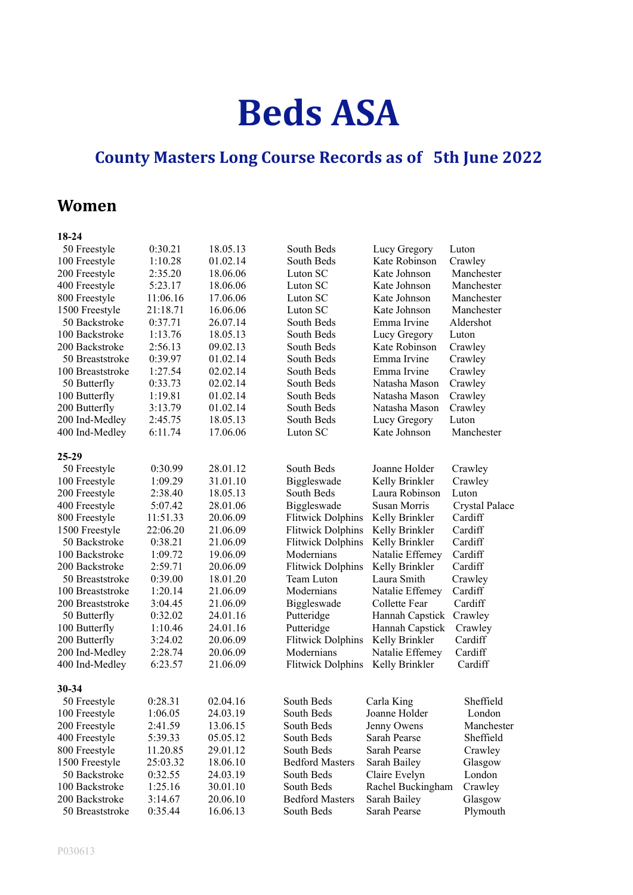# **Beds ASA**

## **County Masters Long Course Records as of 5th June 2022**

## **Women**

| ı<br>I<br>N |
|-------------|
|             |

| 50 Freestyle     | 0:30.21  | 18.05.13 | South Beds               | Lucy Gregory                 | Luton                 |
|------------------|----------|----------|--------------------------|------------------------------|-----------------------|
| 100 Freestyle    | 1:10.28  | 01.02.14 | South Beds               | Kate Robinson                | Crawley               |
| 200 Freestyle    | 2:35.20  | 18.06.06 | Luton SC                 | Kate Johnson                 | Manchester            |
| 400 Freestyle    | 5:23.17  | 18.06.06 | Luton SC                 | Kate Johnson                 | Manchester            |
| 800 Freestyle    | 11:06.16 | 17.06.06 | Luton SC                 | Kate Johnson                 | Manchester            |
| 1500 Freestyle   | 21:18.71 | 16.06.06 | Luton SC                 | Kate Johnson                 | Manchester            |
| 50 Backstroke    | 0:37.71  | 26.07.14 | South Beds               | Emma Irvine                  | Aldershot             |
| 100 Backstroke   | 1:13.76  | 18.05.13 | South Beds               | Lucy Gregory                 | Luton                 |
| 200 Backstroke   | 2:56.13  | 09.02.13 | South Beds               | Kate Robinson                | Crawley               |
| 50 Breaststroke  | 0:39.97  | 01.02.14 | South Beds               | Emma Irvine                  | Crawley               |
| 100 Breaststroke | 1:27.54  | 02.02.14 | South Beds               | Emma Irvine                  | Crawley               |
| 50 Butterfly     | 0:33.73  | 02.02.14 | South Beds               | Natasha Mason                | Crawley               |
| 100 Butterfly    | 1:19.81  | 01.02.14 | South Beds               | Natasha Mason                |                       |
| 200 Butterfly    | 3:13.79  | 01.02.14 | South Beds               | Natasha Mason                | Crawley<br>Crawley    |
|                  |          |          | South Beds               |                              | Luton                 |
| 200 Ind-Medley   | 2:45.75  | 18.05.13 |                          | Lucy Gregory<br>Kate Johnson |                       |
| 400 Ind-Medley   | 6:11.74  | 17.06.06 | Luton SC                 |                              | Manchester            |
| $25-29$          |          |          |                          |                              |                       |
| 50 Freestyle     | 0:30.99  | 28.01.12 | South Beds               | Joanne Holder                | Crawley               |
| 100 Freestyle    | 1:09.29  | 31.01.10 | Biggleswade              | Kelly Brinkler               | Crawley               |
| 200 Freestyle    | 2:38.40  | 18.05.13 | South Beds               | Laura Robinson               | Luton                 |
| 400 Freestyle    | 5:07.42  | 28.01.06 | Biggleswade              | Susan Morris                 | <b>Crystal Palace</b> |
| 800 Freestyle    | 11:51.33 | 20.06.09 | <b>Flitwick Dolphins</b> | Kelly Brinkler               | Cardiff               |
| 1500 Freestyle   | 22:06.20 | 21.06.09 | <b>Flitwick Dolphins</b> | Kelly Brinkler               | Cardiff               |
| 50 Backstroke    | 0:38.21  | 21.06.09 | <b>Flitwick Dolphins</b> | Kelly Brinkler               | Cardiff               |
| 100 Backstroke   | 1:09.72  | 19.06.09 | Modernians               | Natalie Effemey              | Cardiff               |
| 200 Backstroke   | 2:59.71  | 20.06.09 | <b>Flitwick Dolphins</b> | Kelly Brinkler               | Cardiff               |
| 50 Breaststroke  | 0:39.00  | 18.01.20 | Team Luton               | Laura Smith                  | Crawley               |
| 100 Breaststroke | 1:20.14  | 21.06.09 | Modernians               | Natalie Effemey              | Cardiff               |
| 200 Breaststroke | 3:04.45  | 21.06.09 | Biggleswade              | Collette Fear                | Cardiff               |
| 50 Butterfly     | 0:32.02  | 24.01.16 | Putteridge               | Hannah Capstick              | Crawley               |
| 100 Butterfly    | 1:10.46  | 24.01.16 | Putteridge               | Hannah Capstick              | Crawley               |
| 200 Butterfly    | 3:24.02  | 20.06.09 | <b>Flitwick Dolphins</b> | Kelly Brinkler               | Cardiff               |
| 200 Ind-Medley   | 2:28.74  | 20.06.09 | Modernians               | Natalie Effemey              | Cardiff               |
| 400 Ind-Medley   | 6:23.57  | 21.06.09 | <b>Flitwick Dolphins</b> | Kelly Brinkler               | Cardiff               |
|                  |          |          |                          |                              |                       |
| $30 - 34$        |          |          |                          |                              |                       |
| 50 Freestyle     | 0:28.31  | 02.04.16 | South Beds               | Carla King                   | Sheffield             |
| 100 Freestyle    | 1:06.05  | 24.03.19 | South Beds               | Joanne Holder                | London                |
| 200 Freestyle    | 2:41.59  | 13.06.15 | South Beds               | Jenny Owens                  | Manchester            |
| 400 Freestyle    | 5:39.33  | 05.05.12 | South Beds               | Sarah Pearse                 | Sheffield             |
| 800 Freestyle    | 11.20.85 | 29.01.12 | South Beds               | Sarah Pearse                 | Crawley               |
| 1500 Freestyle   | 25:03.32 | 18.06.10 | <b>Bedford Masters</b>   | Sarah Bailey                 | Glasgow               |
| 50 Backstroke    | 0:32.55  | 24.03.19 | South Beds               | Claire Evelyn                | London                |
| 100 Backstroke   | 1:25.16  | 30.01.10 | South Beds               | Rachel Buckingham            | Crawley               |
| 200 Backstroke   | 3:14.67  | 20.06.10 | <b>Bedford Masters</b>   | Sarah Bailey                 | Glasgow               |
| 50 Breaststroke  | 0:35.44  | 16.06.13 | South Beds               | Sarah Pearse                 | Plymouth              |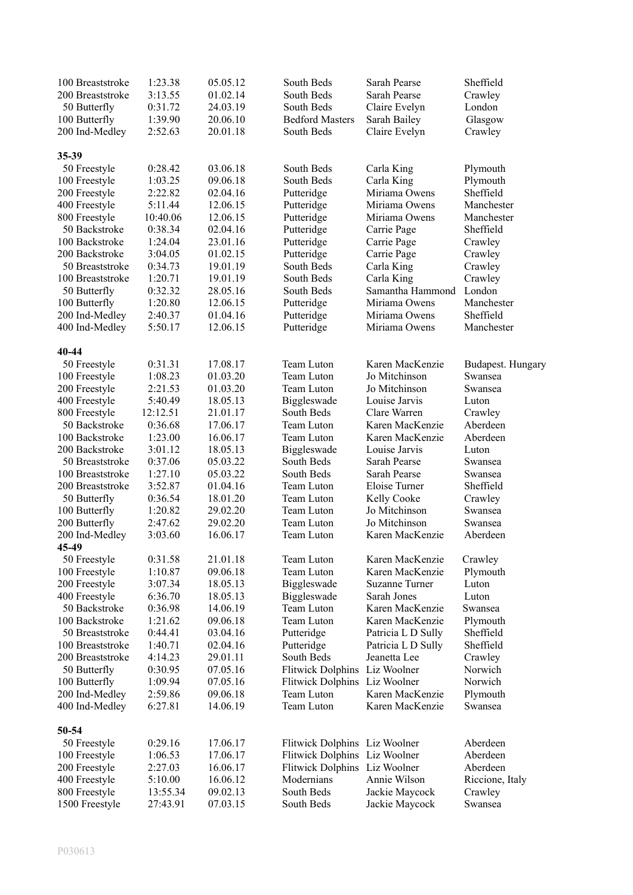| 100 Breaststroke<br>200 Breaststroke | 1:23.38<br>3:13.55 | 05.05.12<br>01.02.14 | South Beds<br>South Beds      | Sarah Pearse<br>Sarah Pearse     | Sheffield<br>Crawley |
|--------------------------------------|--------------------|----------------------|-------------------------------|----------------------------------|----------------------|
| 50 Butterfly                         | 0:31.72            | 24.03.19             | South Beds                    | Claire Evelyn                    | London               |
| 100 Butterfly                        | 1:39.90            | 20.06.10             | <b>Bedford Masters</b>        | Sarah Bailey                     | Glasgow              |
| 200 Ind-Medley                       | 2:52.63            | 20.01.18             | South Beds                    | Claire Evelyn                    | Crawley              |
|                                      |                    |                      |                               |                                  |                      |
| 35-39                                |                    |                      |                               |                                  |                      |
| 50 Freestyle                         | 0:28.42            | 03.06.18             | South Beds                    | Carla King                       | Plymouth             |
| 100 Freestyle                        | 1:03.25            | 09.06.18             | South Beds                    | Carla King                       | Plymouth             |
| 200 Freestyle                        | 2:22.82            | 02.04.16             | Putteridge                    | Miriama Owens                    | Sheffield            |
| 400 Freestyle                        | 5:11.44            | 12.06.15             | Putteridge                    | Miriama Owens                    | Manchester           |
| 800 Freestyle                        | 10:40.06           | 12.06.15             | Putteridge                    | Miriama Owens                    | Manchester           |
| 50 Backstroke                        | 0:38.34            | 02.04.16             | Putteridge                    | Carrie Page                      | Sheffield            |
| 100 Backstroke                       | 1:24.04            | 23.01.16             | Putteridge                    | Carrie Page                      | Crawley              |
| 200 Backstroke                       | 3:04.05            | 01.02.15             | Putteridge                    | Carrie Page                      | Crawley              |
| 50 Breaststroke                      | 0:34.73            | 19.01.19             | South Beds                    | Carla King                       | Crawley              |
| 100 Breaststroke                     | 1:20.71            | 19.01.19             | South Beds                    | Carla King                       | Crawley              |
| 50 Butterfly                         | 0:32.32            | 28.05.16             | South Beds                    | Samantha Hammond                 | London               |
| 100 Butterfly                        | 1:20.80            | 12.06.15             | Putteridge                    | Miriama Owens                    | Manchester           |
| 200 Ind-Medley                       | 2:40.37            | 01.04.16             | Putteridge                    | Miriama Owens                    | Sheffield            |
| 400 Ind-Medley                       | 5:50.17            | 12.06.15             | Putteridge                    | Miriama Owens                    | Manchester           |
| 40-44                                |                    |                      |                               |                                  |                      |
| 50 Freestyle                         | 0:31.31            | 17.08.17             | Team Luton                    | Karen MacKenzie                  | Budapest. Hungary    |
| 100 Freestyle                        | 1:08.23            | 01.03.20             | Team Luton                    | Jo Mitchinson                    | Swansea              |
| 200 Freestyle                        | 2:21.53            | 01.03.20             | Team Luton                    | Jo Mitchinson                    | Swansea              |
| 400 Freestyle                        | 5:40.49            | 18.05.13             | Biggleswade                   | Louise Jarvis                    | Luton                |
| 800 Freestyle                        | 12:12.51           | 21.01.17             | South Beds                    | Clare Warren                     | Crawley              |
| 50 Backstroke                        | 0:36.68            | 17.06.17             | Team Luton                    | Karen MacKenzie                  | Aberdeen             |
| 100 Backstroke                       | 1:23.00            | 16.06.17             | Team Luton                    | Karen MacKenzie                  | Aberdeen             |
| 200 Backstroke                       | 3:01.12            | 18.05.13             | Biggleswade                   | Louise Jarvis                    | Luton                |
| 50 Breaststroke                      | 0:37.06            | 05.03.22             | South Beds                    | Sarah Pearse                     | Swansea              |
| 100 Breaststroke                     | 1:27.10            | 05.03.22             | South Beds                    | Sarah Pearse                     | Swansea              |
| 200 Breaststroke                     | 3:52.87            | 01.04.16             | Team Luton                    | Eloise Turner                    | Sheffield            |
| 50 Butterfly                         | 0:36.54            | 18.01.20             | Team Luton                    | Kelly Cooke                      | Crawley              |
| 100 Butterfly                        | 1:20.82            | 29.02.20             | Team Luton                    | Jo Mitchinson                    | Swansea              |
| 200 Butterfly                        | 2:47.62<br>3:03.60 | 29.02.20<br>16.06.17 | Team Luton<br>Team Luton      | Jo Mitchinson<br>Karen MacKenzie | Swansea<br>Aberdeen  |
| 200 Ind-Medley<br>45-49              |                    |                      |                               |                                  |                      |
|                                      | 0:31.58            | 21.01.18             | Team Luton                    | Karen MacKenzie                  |                      |
| 50 Freestyle<br>100 Freestyle        | 1:10.87            | 09.06.18             | Team Luton                    | Karen MacKenzie                  | Crawley              |
|                                      | 3:07.34            | 18.05.13             |                               | Suzanne Turner                   | Plymouth<br>Luton    |
| 200 Freestyle<br>400 Freestyle       | 6:36.70            | 18.05.13             | Biggleswade<br>Biggleswade    | Sarah Jones                      | Luton                |
| 50 Backstroke                        | 0:36.98            | 14.06.19             | Team Luton                    | Karen MacKenzie                  | Swansea              |
| 100 Backstroke                       | 1:21.62            | 09.06.18             | Team Luton                    | Karen MacKenzie                  | Plymouth             |
| 50 Breaststroke                      | 0:44.41            | 03.04.16             | Putteridge                    | Patricia L D Sully               | Sheffield            |
| 100 Breaststroke                     | 1:40.71            | 02.04.16             | Putteridge                    | Patricia L D Sully               | Sheffield            |
| 200 Breaststroke                     | 4:14.23            | 29.01.11             | South Beds                    | Jeanetta Lee                     | Crawley              |
| 50 Butterfly                         | 0:30.95            | 07.05.16             | <b>Flitwick Dolphins</b>      | Liz Woolner                      | Norwich              |
| 100 Butterfly                        | 1:09.94            | 07.05.16             | <b>Flitwick Dolphins</b>      | Liz Woolner                      | Norwich              |
| 200 Ind-Medley                       | 2:59.86            | 09.06.18             | Team Luton                    | Karen MacKenzie                  | Plymouth             |
| 400 Ind-Medley                       | 6:27.81            | 14.06.19             | Team Luton                    | Karen MacKenzie                  | Swansea              |
|                                      |                    |                      |                               |                                  |                      |
| 50-54                                |                    |                      |                               |                                  |                      |
| 50 Freestyle                         | 0:29.16            | 17.06.17             | Flitwick Dolphins Liz Woolner |                                  | Aberdeen             |
| 100 Freestyle                        | 1:06.53            | 17.06.17             | Flitwick Dolphins Liz Woolner |                                  | Aberdeen             |
| 200 Freestyle                        | 2:27.03            | 16.06.17             | Flitwick Dolphins Liz Woolner |                                  | Aberdeen             |
| 400 Freestyle                        | 5:10.00            | 16.06.12             | Modernians                    | Annie Wilson                     | Riccione, Italy      |
| 800 Freestyle                        | 13:55.34           | 09.02.13             | South Beds                    | Jackie Maycock                   | Crawley              |
| 1500 Freestyle                       | 27:43.91           | 07.03.15             | South Beds                    | Jackie Maycock                   | Swansea              |
|                                      |                    |                      |                               |                                  |                      |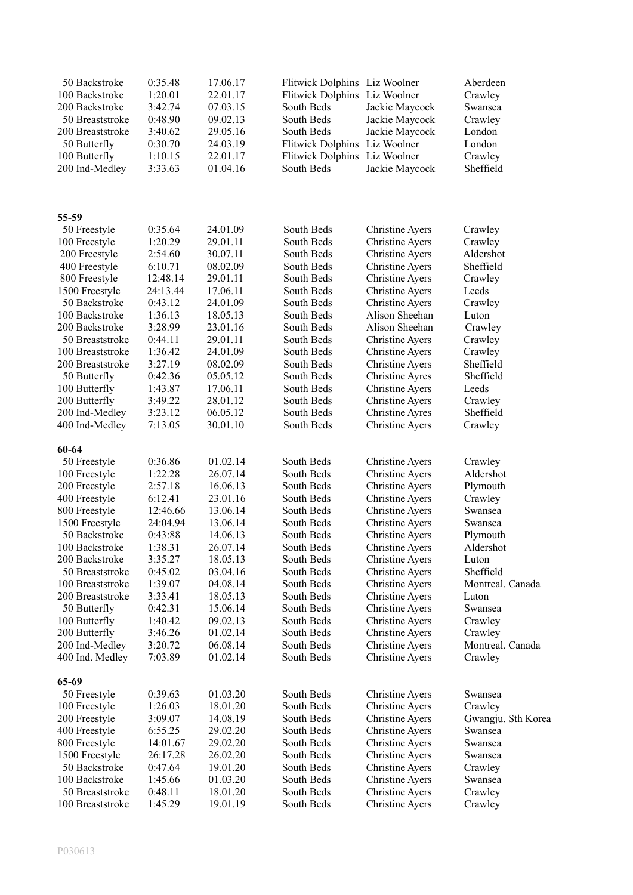| 50 Backstroke<br>100 Backstroke<br>200 Backstroke<br>50 Breaststroke<br>200 Breaststroke<br>50 Butterfly<br>100 Butterfly<br>200 Ind-Medley | 0:35.48<br>1:20.01<br>3:42.74<br>0:48.90<br>3:40.62<br>0:30.70<br>1:10.15<br>3:33.63 | 17.06.17<br>22.01.17<br>07.03.15<br>09.02.13<br>29.05.16<br>24.03.19<br>22.01.17<br>01.04.16 | Flitwick Dolphins Liz Woolner<br><b>Flitwick Dolphins</b><br>South Beds<br>South Beds<br>South Beds<br><b>Flitwick Dolphins</b><br><b>Flitwick Dolphins</b><br>South Beds | Liz Woolner<br>Jackie Maycock<br>Jackie Maycock<br>Jackie Maycock<br>Liz Woolner<br>Liz Woolner<br>Jackie Maycock | Aberdeen<br>Crawley<br>Swansea<br>Crawley<br>London<br>London<br>Crawley<br>Sheffield |
|---------------------------------------------------------------------------------------------------------------------------------------------|--------------------------------------------------------------------------------------|----------------------------------------------------------------------------------------------|---------------------------------------------------------------------------------------------------------------------------------------------------------------------------|-------------------------------------------------------------------------------------------------------------------|---------------------------------------------------------------------------------------|
| 55-59                                                                                                                                       |                                                                                      |                                                                                              |                                                                                                                                                                           |                                                                                                                   |                                                                                       |
| 50 Freestyle                                                                                                                                | 0:35.64                                                                              | 24.01.09                                                                                     | South Beds                                                                                                                                                                | <b>Christine Ayers</b>                                                                                            | Crawley                                                                               |
| 100 Freestyle                                                                                                                               | 1:20.29                                                                              | 29.01.11                                                                                     | South Beds                                                                                                                                                                | <b>Christine Ayers</b>                                                                                            | Crawley                                                                               |
| 200 Freestyle                                                                                                                               | 2:54.60                                                                              | 30.07.11                                                                                     | South Beds                                                                                                                                                                | <b>Christine Ayers</b>                                                                                            | Aldershot                                                                             |
| 400 Freestyle                                                                                                                               | 6:10.71                                                                              | 08.02.09                                                                                     | South Beds                                                                                                                                                                | <b>Christine Ayers</b>                                                                                            | Sheffield                                                                             |
| 800 Freestyle                                                                                                                               | 12:48.14                                                                             | 29.01.11                                                                                     | South Beds                                                                                                                                                                | <b>Christine Ayers</b>                                                                                            | Crawley                                                                               |
| 1500 Freestyle                                                                                                                              | 24:13.44                                                                             | 17.06.11                                                                                     | South Beds                                                                                                                                                                | <b>Christine Ayers</b>                                                                                            | Leeds                                                                                 |
| 50 Backstroke                                                                                                                               | 0:43.12                                                                              | 24.01.09                                                                                     | South Beds                                                                                                                                                                | <b>Christine Ayers</b>                                                                                            | Crawley                                                                               |
| 100 Backstroke                                                                                                                              | 1:36.13                                                                              | 18.05.13                                                                                     | South Beds                                                                                                                                                                | Alison Sheehan                                                                                                    | Luton                                                                                 |
| 200 Backstroke                                                                                                                              | 3:28.99                                                                              | 23.01.16                                                                                     | South Beds                                                                                                                                                                | Alison Sheehan                                                                                                    | Crawley                                                                               |
| 50 Breaststroke                                                                                                                             | 0:44.11                                                                              | 29.01.11                                                                                     | South Beds                                                                                                                                                                | Christine Ayers                                                                                                   | Crawley                                                                               |
| 100 Breaststroke                                                                                                                            | 1:36.42                                                                              | 24.01.09                                                                                     | South Beds                                                                                                                                                                | <b>Christine Ayers</b>                                                                                            | Crawley<br>Sheffield                                                                  |
| 200 Breaststroke<br>50 Butterfly                                                                                                            | 3:27.19<br>0:42.36                                                                   | 08.02.09<br>05.05.12                                                                         | South Beds<br>South Beds                                                                                                                                                  | <b>Christine Ayers</b><br><b>Christine Ayres</b>                                                                  | Sheffield                                                                             |
| 100 Butterfly                                                                                                                               | 1:43.87                                                                              | 17.06.11                                                                                     | South Beds                                                                                                                                                                | <b>Christine Ayers</b>                                                                                            | Leeds                                                                                 |
| 200 Butterfly                                                                                                                               | 3:49.22                                                                              | 28.01.12                                                                                     | South Beds                                                                                                                                                                | <b>Christine Ayers</b>                                                                                            | Crawley                                                                               |
| 200 Ind-Medley                                                                                                                              | 3:23.12                                                                              | 06.05.12                                                                                     | South Beds                                                                                                                                                                | <b>Christine Ayres</b>                                                                                            | Sheffield                                                                             |
| 400 Ind-Medley                                                                                                                              | 7:13.05                                                                              | 30.01.10                                                                                     | South Beds                                                                                                                                                                | <b>Christine Ayers</b>                                                                                            | Crawley                                                                               |
|                                                                                                                                             |                                                                                      |                                                                                              |                                                                                                                                                                           |                                                                                                                   |                                                                                       |
| 60-64                                                                                                                                       |                                                                                      |                                                                                              |                                                                                                                                                                           |                                                                                                                   |                                                                                       |
| 50 Freestyle                                                                                                                                | 0:36.86                                                                              | 01.02.14                                                                                     | South Beds                                                                                                                                                                | <b>Christine Ayers</b>                                                                                            | Crawley                                                                               |
| 100 Freestyle                                                                                                                               | 1:22.28                                                                              | 26.07.14                                                                                     | South Beds                                                                                                                                                                | <b>Christine Ayers</b>                                                                                            | Aldershot                                                                             |
| 200 Freestyle                                                                                                                               | 2:57.18                                                                              | 16.06.13                                                                                     | South Beds                                                                                                                                                                | <b>Christine Ayers</b>                                                                                            | Plymouth                                                                              |
| 400 Freestyle                                                                                                                               | 6:12.41                                                                              | 23.01.16                                                                                     | South Beds                                                                                                                                                                | <b>Christine Ayers</b>                                                                                            | Crawley                                                                               |
| 800 Freestyle<br>1500 Freestyle                                                                                                             | 12:46.66<br>24:04.94                                                                 | 13.06.14                                                                                     | South Beds                                                                                                                                                                | <b>Christine Ayers</b>                                                                                            | Swansea                                                                               |
| 50 Backstroke                                                                                                                               | 0:43:88                                                                              | 13.06.14<br>14.06.13                                                                         | South Beds<br>South Beds                                                                                                                                                  | <b>Christine Ayers</b><br><b>Christine Ayers</b>                                                                  | Swansea<br>Plymouth                                                                   |
| 100 Backstroke                                                                                                                              | 1:38.31                                                                              | 26.07.14                                                                                     | South Beds                                                                                                                                                                | Christine Ayers                                                                                                   | Aldershot                                                                             |
| 200 Backstroke                                                                                                                              | 3:35.27                                                                              | 18.05.13                                                                                     | South Beds                                                                                                                                                                | Christine Ayers                                                                                                   | Luton                                                                                 |
| 50 Breaststroke                                                                                                                             | 0:45.02                                                                              | 03.04.16                                                                                     | South Beds                                                                                                                                                                | <b>Christine Ayers</b>                                                                                            | Sheffield                                                                             |
| 100 Breaststroke                                                                                                                            | 1:39.07                                                                              | 04.08.14                                                                                     | South Beds                                                                                                                                                                | <b>Christine Ayers</b>                                                                                            | Montreal. Canada                                                                      |
| 200 Breaststroke                                                                                                                            | 3:33.41                                                                              | 18.05.13                                                                                     | South Beds                                                                                                                                                                | <b>Christine Ayers</b>                                                                                            | Luton                                                                                 |
| 50 Butterfly                                                                                                                                | 0:42.31                                                                              | 15.06.14                                                                                     | South Beds                                                                                                                                                                | <b>Christine Ayers</b>                                                                                            | Swansea                                                                               |
| 100 Butterfly                                                                                                                               | 1:40.42                                                                              | 09.02.13                                                                                     | South Beds                                                                                                                                                                | <b>Christine Ayers</b>                                                                                            | Crawley                                                                               |
| 200 Butterfly                                                                                                                               | 3:46.26                                                                              | 01.02.14                                                                                     | South Beds                                                                                                                                                                | <b>Christine Ayers</b>                                                                                            | Crawley                                                                               |
| 200 Ind-Medley                                                                                                                              | 3:20.72                                                                              | 06.08.14                                                                                     | South Beds                                                                                                                                                                | <b>Christine Ayers</b>                                                                                            | Montreal. Canada                                                                      |
| 400 Ind. Medley                                                                                                                             | 7:03.89                                                                              | 01.02.14                                                                                     | South Beds                                                                                                                                                                | <b>Christine Ayers</b>                                                                                            | Crawley                                                                               |
| 65-69                                                                                                                                       |                                                                                      |                                                                                              |                                                                                                                                                                           |                                                                                                                   |                                                                                       |
| 50 Freestyle                                                                                                                                | 0:39.63                                                                              | 01.03.20                                                                                     | South Beds                                                                                                                                                                | <b>Christine Ayers</b>                                                                                            | Swansea                                                                               |
| 100 Freestyle                                                                                                                               | 1:26.03                                                                              | 18.01.20                                                                                     | South Beds                                                                                                                                                                | <b>Christine Ayers</b>                                                                                            | Crawley                                                                               |
| 200 Freestyle                                                                                                                               | 3:09.07                                                                              | 14.08.19                                                                                     | South Beds                                                                                                                                                                | <b>Christine Ayers</b>                                                                                            | Gwangju. Sth Korea                                                                    |
| 400 Freestyle                                                                                                                               | 6:55.25                                                                              | 29.02.20                                                                                     | South Beds                                                                                                                                                                | <b>Christine Ayers</b>                                                                                            | Swansea                                                                               |
| 800 Freestyle                                                                                                                               | 14:01.67                                                                             | 29.02.20                                                                                     | South Beds                                                                                                                                                                | <b>Christine Ayers</b>                                                                                            | Swansea                                                                               |
| 1500 Freestyle                                                                                                                              | 26:17.28                                                                             | 26.02.20                                                                                     | South Beds                                                                                                                                                                | <b>Christine Ayers</b>                                                                                            | Swansea                                                                               |
| 50 Backstroke                                                                                                                               | 0:47.64                                                                              | 19.01.20                                                                                     | South Beds                                                                                                                                                                | <b>Christine Ayers</b>                                                                                            | Crawley                                                                               |
| 100 Backstroke                                                                                                                              | 1:45.66                                                                              | 01.03.20                                                                                     | South Beds                                                                                                                                                                | <b>Christine Ayers</b>                                                                                            | Swansea                                                                               |
| 50 Breaststroke                                                                                                                             | 0:48.11                                                                              | 18.01.20                                                                                     | South Beds                                                                                                                                                                | <b>Christine Ayers</b>                                                                                            | Crawley                                                                               |
| 100 Breaststroke                                                                                                                            | 1:45.29                                                                              | 19.01.19                                                                                     | South Beds                                                                                                                                                                | <b>Christine Ayers</b>                                                                                            | Crawley                                                                               |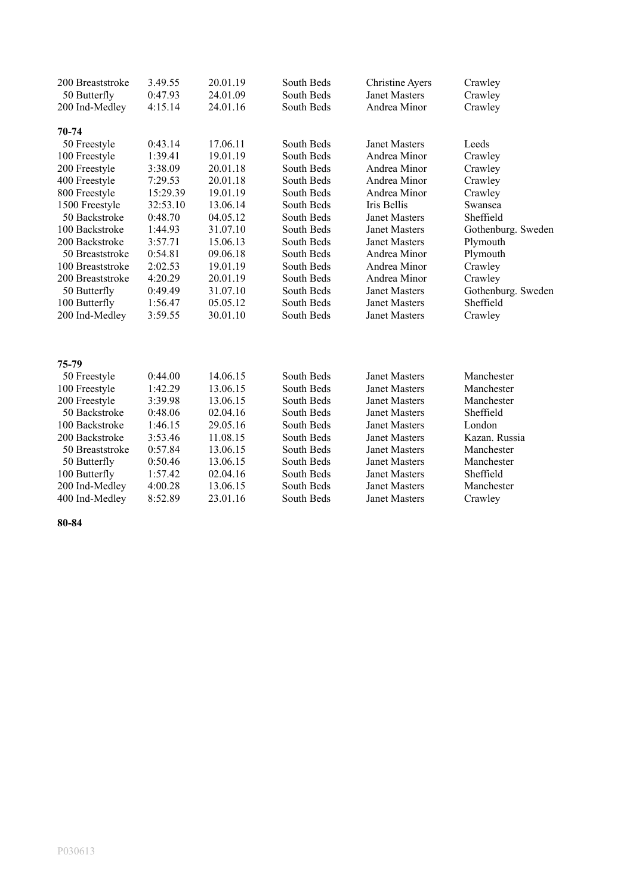| 200 Breaststroke | 3.49.55  | 20.01.19 | South Beds | Christine Ayers      | Crawley            |
|------------------|----------|----------|------------|----------------------|--------------------|
| 50 Butterfly     | 0:47.93  | 24.01.09 | South Beds | <b>Janet Masters</b> | Crawley            |
| 200 Ind-Medley   | 4:15.14  | 24.01.16 | South Beds | Andrea Minor         | Crawley            |
| 70-74            |          |          |            |                      |                    |
| 50 Freestyle     | 0:43.14  | 17.06.11 | South Beds | <b>Janet Masters</b> | Leeds              |
| 100 Freestyle    | 1:39.41  | 19.01.19 | South Beds | Andrea Minor         | Crawley            |
| 200 Freestyle    | 3:38.09  | 20.01.18 | South Beds | Andrea Minor         | Crawley            |
| 400 Freestyle    | 7:29.53  | 20.01.18 | South Beds | Andrea Minor         | Crawley            |
| 800 Freestyle    | 15:29.39 | 19.01.19 | South Beds | Andrea Minor         | Crawley            |
| 1500 Freestyle   | 32:53.10 | 13.06.14 | South Beds | Iris Bellis          | Swansea            |
| 50 Backstroke    | 0:48.70  | 04.05.12 | South Beds | Janet Masters        | Sheffield          |
| 100 Backstroke   | 1:44.93  | 31.07.10 | South Beds | Janet Masters        | Gothenburg. Sweden |
| 200 Backstroke   | 3:57.71  | 15.06.13 | South Beds | <b>Janet Masters</b> | Plymouth           |
| 50 Breaststroke  | 0:54.81  | 09.06.18 | South Beds | Andrea Minor         | Plymouth           |
| 100 Breaststroke | 2:02.53  | 19.01.19 | South Beds | Andrea Minor         | Crawley            |
| 200 Breaststroke | 4:20.29  | 20.01.19 | South Beds | Andrea Minor         | Crawley            |
| 50 Butterfly     | 0:49.49  | 31.07.10 | South Beds | Janet Masters        | Gothenburg. Sweden |
| 100 Butterfly    | 1:56.47  | 05.05.12 | South Beds | <b>Janet Masters</b> | Sheffield          |
| 200 Ind-Medley   | 3:59.55  | 30.01.10 | South Beds | Janet Masters        | Crawley            |
|                  |          |          |            |                      |                    |
| 75-79            |          |          |            |                      |                    |
| 50 Freestyle     | 0:44.00  | 14.06.15 | South Beds | <b>Janet Masters</b> | Manchester         |
| 100 Freestyle    | 1:42.29  | 13.06.15 | South Beds | <b>Janet Masters</b> | Manchester         |
| 200 Freestyle    | 3:39.98  | 13.06.15 | South Beds | <b>Janet Masters</b> | Manchester         |
| 50 Backstroke    | 0:48.06  | 02.04.16 | South Beds | <b>Janet Masters</b> | Sheffield          |
| 100 Backstroke   | 1:46.15  | 29.05.16 | South Beds | <b>Janet Masters</b> | London             |
| 200 Backstroke   | 3:53.46  | 11.08.15 | South Beds | <b>Janet Masters</b> | Kazan. Russia      |
| 50 Breaststroke  | 0:57.84  | 13.06.15 | South Beds | <b>Janet Masters</b> | Manchester         |
| 50 Butterfly     | 0:50.46  | 13.06.15 | South Beds | <b>Janet Masters</b> | Manchester         |
| 100 Butterfly    | 1:57.42  | 02.04.16 | South Beds | <b>Janet Masters</b> | Sheffield          |
| 200 Ind-Medley   | 4:00.28  | 13.06.15 | South Beds | <b>Janet Masters</b> | Manchester         |
| 400 Ind-Medley   | 8:52.89  | 23.01.16 | South Beds | <b>Janet Masters</b> | Crawley            |

**80-84**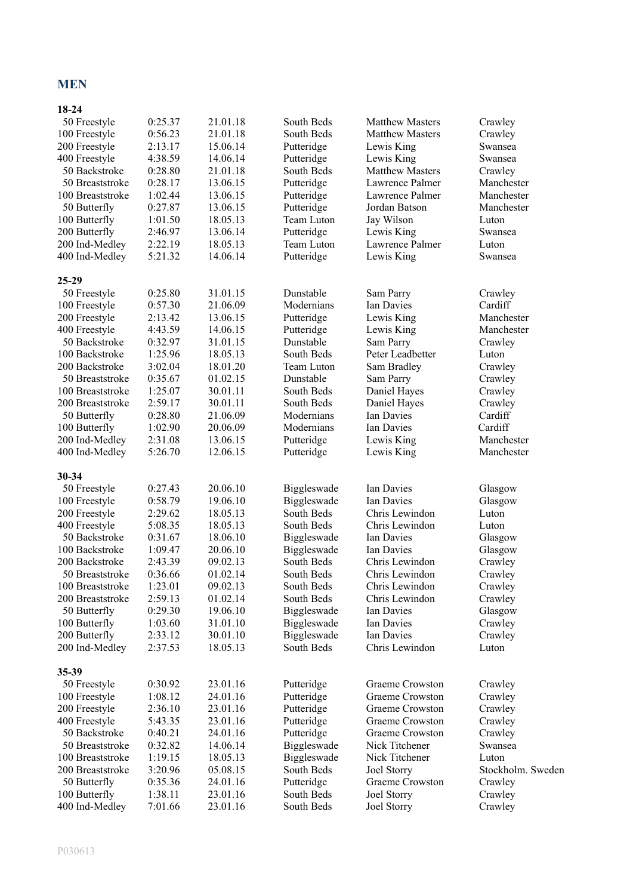#### **MEN**

### **18-24**

| 50 Freestyle<br>100 Freestyle<br>200 Freestyle      | 0:25.37<br>0:56.23<br>2:13.17 | 21.01.18<br>21.01.18<br>15.06.14 | South Beds<br>South Beds<br>Putteridge | <b>Matthew Masters</b><br><b>Matthew Masters</b><br>Lewis King | Crawley<br>Crawley<br>Swansea          |
|-----------------------------------------------------|-------------------------------|----------------------------------|----------------------------------------|----------------------------------------------------------------|----------------------------------------|
| 400 Freestyle<br>50 Backstroke                      | 4:38.59<br>0:28.80            | 14.06.14<br>21.01.18             | Putteridge<br>South Beds               | Lewis King<br><b>Matthew Masters</b>                           | Swansea<br>Crawley                     |
| 50 Breaststroke<br>100 Breaststroke<br>50 Butterfly | 0:28.17<br>1:02.44<br>0:27.87 | 13.06.15<br>13.06.15<br>13.06.15 | Putteridge<br>Putteridge<br>Putteridge | Lawrence Palmer<br>Lawrence Palmer<br>Jordan Batson            | Manchester<br>Manchester<br>Manchester |
| 100 Butterfly                                       | 1:01.50                       | 18.05.13                         | Team Luton                             | Jay Wilson                                                     | Luton                                  |
| 200 Butterfly                                       | 2:46.97                       | 13.06.14                         | Putteridge                             | Lewis King                                                     | Swansea                                |
| 200 Ind-Medley                                      | 2:22.19                       | 18.05.13                         | Team Luton                             | Lawrence Palmer                                                | Luton                                  |
| 400 Ind-Medley                                      | 5:21.32                       | 14.06.14                         | Putteridge                             | Lewis King                                                     | Swansea                                |
| $25 - 29$                                           |                               |                                  |                                        |                                                                |                                        |
| 50 Freestyle                                        | 0:25.80                       | 31.01.15                         | Dunstable                              | Sam Parry                                                      | Crawley                                |
| 100 Freestyle                                       | 0:57.30                       | 21.06.09                         | Modernians                             | Ian Davies                                                     | Cardiff                                |
| 200 Freestyle                                       | 2:13.42                       | 13.06.15                         | Putteridge                             | Lewis King                                                     | Manchester                             |
| 400 Freestyle                                       | 4:43.59                       | 14.06.15                         | Putteridge                             | Lewis King                                                     | Manchester                             |
| 50 Backstroke                                       | 0:32.97                       | 31.01.15                         | Dunstable                              | Sam Parry                                                      | Crawley                                |
| 100 Backstroke                                      | 1:25.96                       | 18.05.13                         | South Beds                             | Peter Leadbetter                                               | Luton                                  |
| 200 Backstroke                                      | 3:02.04                       | 18.01.20                         | Team Luton                             | Sam Bradley                                                    | Crawley                                |
| 50 Breaststroke                                     | 0:35.67                       | 01.02.15                         | Dunstable                              | Sam Parry                                                      | Crawley                                |
| 100 Breaststroke                                    | 1:25.07                       | 30.01.11                         | South Beds                             | Daniel Hayes                                                   | Crawley                                |
| 200 Breaststroke                                    | 2:59.17                       | 30.01.11                         | South Beds                             | Daniel Hayes                                                   | Crawley                                |
| 50 Butterfly                                        | 0:28.80                       | 21.06.09                         | Modernians                             | Ian Davies                                                     | Cardiff                                |
| 100 Butterfly                                       | 1:02.90                       | 20.06.09                         | Modernians                             | Ian Davies                                                     | Cardiff                                |
| 200 Ind-Medley<br>400 Ind-Medley                    | 2:31.08<br>5:26.70            | 13.06.15<br>12.06.15             | Putteridge<br>Putteridge               | Lewis King<br>Lewis King                                       | Manchester<br>Manchester               |
| 30-34                                               |                               |                                  |                                        |                                                                |                                        |
| 50 Freestyle                                        | 0:27.43                       | 20.06.10                         | Biggleswade                            | Ian Davies                                                     | Glasgow                                |
| 100 Freestyle                                       | 0:58.79                       | 19.06.10                         | Biggleswade                            | Ian Davies                                                     | Glasgow                                |
| 200 Freestyle                                       | 2:29.62                       | 18.05.13                         | South Beds                             | Chris Lewindon                                                 | Luton                                  |
| 400 Freestyle                                       | 5:08.35                       | 18.05.13                         | South Beds                             | Chris Lewindon                                                 | Luton                                  |
| 50 Backstroke                                       | 0:31.67                       | 18.06.10                         | Biggleswade                            | Ian Davies                                                     | Glasgow                                |
| 100 Backstroke                                      | 1:09.47                       | 20.06.10                         | Biggleswade                            | Ian Davies                                                     | Glasgow                                |
| 200 Backstroke                                      | 2:43.39                       | 09.02.13                         | South Beds                             | Chris Lewindon                                                 | Crawley                                |
| 50 Breaststroke                                     | 0:36.66                       | 01.02.14                         | South Beds                             | Chris Lewindon                                                 | Crawley                                |
| 100 Breaststroke                                    | 1:23.01                       | 09.02.13                         | South Beds                             | Chris Lewindon                                                 | Crawley                                |
| 200 Breaststroke                                    | 2:59.13                       | 01.02.14                         | South Beds                             | Chris Lewindon                                                 | Crawley                                |
| 50 Butterfly                                        | 0:29.30                       | 19.06.10                         | Biggleswade                            | Ian Davies                                                     | Glasgow                                |
| 100 Butterfly                                       | 1:03.60                       | 31.01.10                         | Biggleswade                            | Ian Davies                                                     | Crawley                                |
| 200 Butterfly                                       | 2:33.12                       | 30.01.10                         | Biggleswade                            | Ian Davies                                                     | Crawley                                |
| 200 Ind-Medley                                      | 2:37.53                       | 18.05.13                         | South Beds                             | Chris Lewindon                                                 | Luton                                  |
| 35-39                                               |                               |                                  |                                        |                                                                |                                        |
| 50 Freestyle                                        | 0:30.92                       | 23.01.16                         | Putteridge                             | Graeme Crowston                                                | Crawley                                |
| 100 Freestyle                                       | 1:08.12                       | 24.01.16                         | Putteridge                             | Graeme Crowston                                                | Crawley                                |
| 200 Freestyle                                       | 2:36.10                       | 23.01.16                         | Putteridge                             | Graeme Crowston                                                | Crawley                                |
| 400 Freestyle                                       | 5:43.35                       | 23.01.16                         | Putteridge                             | Graeme Crowston                                                | Crawley                                |
| 50 Backstroke                                       | 0:40.21                       | 24.01.16                         | Putteridge                             | Graeme Crowston                                                | Crawley                                |
| 50 Breaststroke                                     | 0:32.82                       | 14.06.14                         | Biggleswade                            | Nick Titchener                                                 | Swansea                                |
| 100 Breaststroke                                    | 1:19.15                       | 18.05.13                         | Biggleswade                            | Nick Titchener                                                 | Luton                                  |
| 200 Breaststroke                                    | 3:20.96                       | 05.08.15                         | South Beds                             | Joel Storry                                                    | Stockholm. Sweden                      |
| 50 Butterfly                                        | 0:35.36                       | 24.01.16                         | Putteridge                             | Graeme Crowston                                                | Crawley                                |
| 100 Butterfly                                       | 1:38.11                       | 23.01.16                         | South Beds                             | Joel Storry                                                    | Crawley                                |
| 400 Ind-Medley                                      | 7:01.66                       | 23.01.16                         | South Beds                             | Joel Storry                                                    | Crawley                                |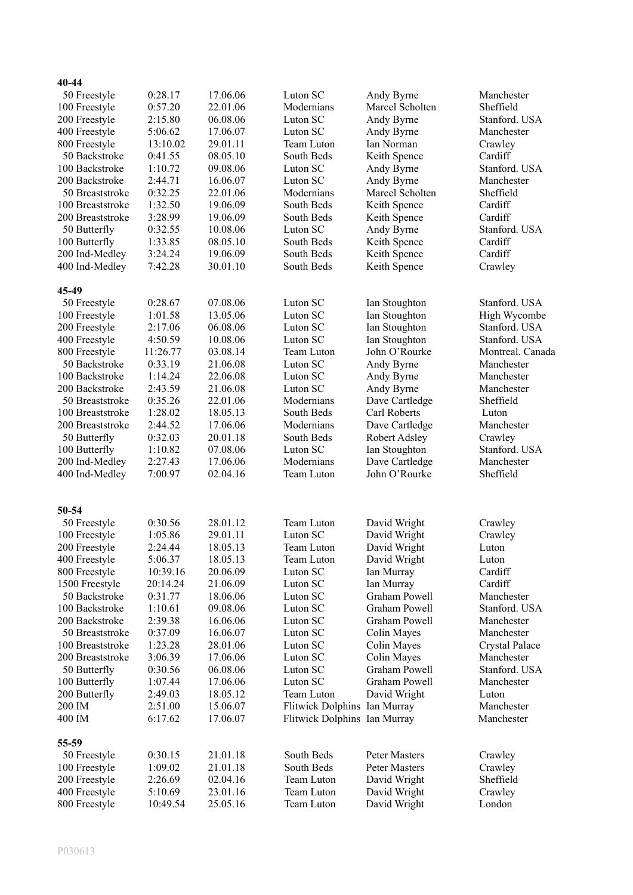| 40-44            |          |          |                              |                      |                       |
|------------------|----------|----------|------------------------------|----------------------|-----------------------|
| 50 Freestyle     | 0:28.17  | 17.06.06 | Luton SC                     | Andy Byrne           | Manchester            |
| 100 Freestyle    | 0:57.20  | 22.01.06 | Modernians                   | Marcel Scholten      | Sheffield             |
| 200 Freestyle    | 2:15.80  | 06.08.06 | Luton SC                     | Andy Byrne           | Stanford. USA         |
| 400 Freestyle    | 5:06.62  | 17.06.07 | Luton SC                     | Andy Byrne           | Manchester            |
| 800 Freestyle    | 13:10.02 | 29.01.11 | Team Luton                   | Ian Norman           | Crawley               |
| 50 Backstroke    | 0:41.55  | 08.05.10 | South Beds                   | Keith Spence         | Cardiff               |
| 100 Backstroke   | 1:10.72  | 09.08.06 | Luton SC                     | Andy Byrne           | Stanford. USA         |
| 200 Backstroke   | 2:44.71  | 16.06.07 | Luton SC                     | Andy Byrne           | Manchester            |
| 50 Breaststroke  | 0:32.25  | 22.01.06 | Modernians                   | Marcel Scholten      | Sheffield             |
| 100 Breaststroke | 1:32.50  | 19.06.09 | South Beds                   | Keith Spence         | Cardiff               |
| 200 Breaststroke | 3:28.99  | 19.06.09 | South Beds                   | Keith Spence         | Cardiff               |
| 50 Butterfly     | 0:32.55  | 10.08.06 | Luton SC                     | Andy Byrne           | Stanford. USA         |
| 100 Butterfly    | 1:33.85  | 08.05.10 | South Beds                   | Keith Spence         | Cardiff               |
| 200 Ind-Medley   | 3:24.24  | 19.06.09 | South Beds                   | Keith Spence         | Cardiff               |
| 400 Ind-Medley   | 7:42.28  | 30.01.10 | South Beds                   | Keith Spence         | Crawley               |
| 45-49            |          |          |                              |                      |                       |
| 50 Freestyle     | 0:28.67  | 07.08.06 | Luton SC                     | Ian Stoughton        | Stanford. USA         |
| 100 Freestyle    | 1:01.58  | 13.05.06 | Luton SC                     | Ian Stoughton        | High Wycombe          |
| 200 Freestyle    | 2:17.06  | 06.08.06 | Luton SC                     | Ian Stoughton        | Stanford. USA         |
| 400 Freestyle    | 4:50.59  | 10.08.06 | Luton SC                     | Ian Stoughton        | Stanford. USA         |
| 800 Freestyle    | 11:26.77 | 03.08.14 | Team Luton                   | John O'Rourke        | Montreal. Canada      |
| 50 Backstroke    | 0:33.19  | 21.06.08 | Luton SC                     | Andy Byrne           | Manchester            |
| 100 Backstroke   | 1:14.24  | 22.06.08 | Luton SC                     | Andy Byrne           | Manchester            |
| 200 Backstroke   | 2:43.59  | 21.06.08 | Luton SC                     | Andy Byrne           | Manchester            |
| 50 Breaststroke  | 0:35.26  | 22.01.06 | Modernians                   | Dave Cartledge       | Sheffield             |
| 100 Breaststroke | 1:28.02  | 18.05.13 | South Beds                   | Carl Roberts         | Luton                 |
| 200 Breaststroke | 2:44.52  | 17.06.06 | Modernians                   | Dave Cartledge       | Manchester            |
| 50 Butterfly     | 0:32.03  | 20.01.18 | South Beds                   | Robert Adsley        | Crawley               |
| 100 Butterfly    | 1:10.82  | 07.08.06 | Luton SC                     | Ian Stoughton        | Stanford. USA         |
| 200 Ind-Medley   | 2:27.43  | 17.06.06 | Modernians                   | Dave Cartledge       | Manchester            |
| 400 Ind-Medley   | 7:00.97  | 02.04.16 | Team Luton                   | John O'Rourke        | Sheffield             |
|                  |          |          |                              |                      |                       |
| 50-54            |          |          |                              |                      |                       |
| 50 Freestyle     | 0:30.56  | 28.01.12 | Team Luton                   | David Wright         | Crawley               |
| 100 Freestyle    | 1:05.86  | 29.01.11 | Luton SC                     | David Wright         | Crawley               |
| 200 Freestyle    | 2:24.44  | 18.05.13 | Team Luton                   | David Wright         | Luton                 |
| 400 Freestyle    | 5:06.37  | 18.05.13 | Team Luton                   | David Wright         | Luton                 |
| 800 Freestyle    | 10:39.16 | 20.06.09 | Luton SC                     | Ian Murray           | Cardiff               |
| 1500 Freestyle   | 20:14.24 | 21.06.09 | Luton SC                     | Ian Murray           | Cardiff               |
| 50 Backstroke    | 0:31.77  | 18.06.06 | Luton SC                     | <b>Graham Powell</b> | Manchester            |
| 100 Backstroke   | 1:10.61  | 09.08.06 | Luton SC                     | Graham Powell        | Stanford. USA         |
| 200 Backstroke   | 2:39.38  | 16.06.06 | Luton SC                     | Graham Powell        | Manchester            |
| 50 Breaststroke  | 0:37.09  | 16.06.07 | Luton SC                     | Colin Mayes          | Manchester            |
| 100 Breaststroke | 1:23.28  | 28.01.06 | Luton SC                     | Colin Mayes          | <b>Crystal Palace</b> |
| 200 Breaststroke | 3:06.39  | 17.06.06 | Luton SC                     | Colin Mayes          | Manchester            |
| 50 Butterfly     | 0:30.56  | 06.08.06 | Luton SC                     | Graham Powell        | Stanford. USA         |
| 100 Butterfly    | 1:07.44  | 17.06.06 | Luton SC                     | <b>Graham Powell</b> | Manchester            |
| 200 Butterfly    | 2:49.03  | 18.05.12 | Team Luton                   | David Wright         | Luton                 |
| 200 IM           | 2:51.00  | 15.06.07 | Flitwick Dolphins Ian Murray |                      | Manchester            |
| 400 IM           | 6:17.62  | 17.06.07 | Flitwick Dolphins Ian Murray |                      | Manchester            |
| 55-59            |          |          |                              |                      |                       |
| 50 Freestyle     | 0:30.15  | 21.01.18 | South Beds                   | Peter Masters        | Crawley               |
| 100 Freestyle    | 1:09.02  | 21.01.18 | South Beds                   | <b>Peter Masters</b> | Crawley               |
| 200 Freestyle    | 2:26.69  | 02.04.16 | Team Luton                   | David Wright         | Sheffield             |
| 400 Freestyle    | 5:10.69  | 23.01.16 | Team Luton                   | David Wright         | Crawley               |
| 800 Freestyle    | 10:49.54 | 25.05.16 | Team Luton                   | David Wright         | London                |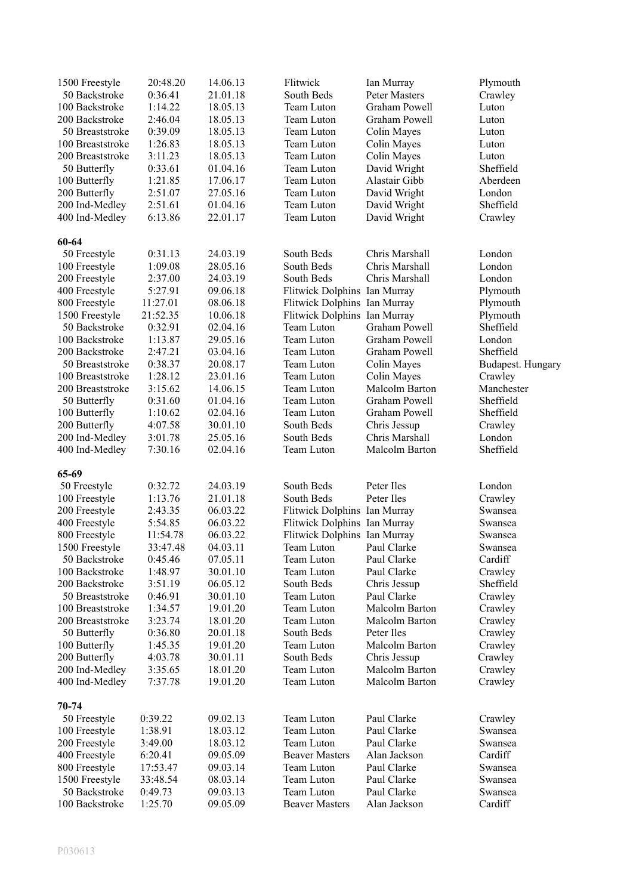| 1500 Freestyle   | 20:48.20 | 14.06.13 | Flitwick                     | Ian Murray           | Plymouth          |
|------------------|----------|----------|------------------------------|----------------------|-------------------|
| 50 Backstroke    | 0:36.41  | 21.01.18 | South Beds                   | Peter Masters        | Crawley           |
| 100 Backstroke   | 1:14.22  | 18.05.13 | Team Luton                   | Graham Powell        | Luton             |
| 200 Backstroke   | 2:46.04  | 18.05.13 | Team Luton                   | Graham Powell        | Luton             |
| 50 Breaststroke  | 0:39.09  | 18.05.13 | Team Luton                   | Colin Mayes          | Luton             |
| 100 Breaststroke | 1:26.83  | 18.05.13 | Team Luton                   | Colin Mayes          | Luton             |
| 200 Breaststroke | 3:11.23  | 18.05.13 | Team Luton                   | Colin Mayes          | Luton             |
| 50 Butterfly     | 0:33.61  | 01.04.16 | Team Luton                   | David Wright         | Sheffield         |
| 100 Butterfly    | 1:21.85  | 17.06.17 | Team Luton                   | Alastair Gibb        | Aberdeen          |
| 200 Butterfly    | 2:51.07  | 27.05.16 | Team Luton                   | David Wright         | London            |
| 200 Ind-Medley   | 2:51.61  | 01.04.16 | Team Luton                   | David Wright         | Sheffield         |
| 400 Ind-Medley   | 6:13.86  | 22.01.17 | Team Luton                   | David Wright         | Crawley           |
| 60-64            |          |          |                              |                      |                   |
| 50 Freestyle     | 0:31.13  | 24.03.19 | South Beds                   | Chris Marshall       | London            |
| 100 Freestyle    | 1:09.08  | 28.05.16 | South Beds                   | Chris Marshall       | London            |
| 200 Freestyle    | 2:37.00  | 24.03.19 | South Beds                   | Chris Marshall       | London            |
| 400 Freestyle    | 5:27.91  | 09.06.18 | Flitwick Dolphins Ian Murray |                      | Plymouth          |
| 800 Freestyle    | 11:27.01 | 08.06.18 | Flitwick Dolphins Ian Murray |                      | Plymouth          |
| 1500 Freestyle   | 21:52.35 | 10.06.18 | Flitwick Dolphins Ian Murray |                      | Plymouth          |
| 50 Backstroke    | 0:32.91  | 02.04.16 | Team Luton                   | Graham Powell        | Sheffield         |
| 100 Backstroke   | 1:13.87  | 29.05.16 | Team Luton                   | <b>Graham Powell</b> | London            |
| 200 Backstroke   | 2:47.21  | 03.04.16 | Team Luton                   | Graham Powell        | Sheffield         |
| 50 Breaststroke  | 0:38.37  | 20.08.17 | Team Luton                   | Colin Mayes          | Budapest. Hungary |
| 100 Breaststroke | 1:28.12  |          | Team Luton                   | Colin Mayes          | Crawley           |
|                  | 3:15.62  | 23.01.16 |                              | Malcolm Barton       | Manchester        |
| 200 Breaststroke |          | 14.06.15 | Team Luton                   |                      |                   |
| 50 Butterfly     | 0:31.60  | 01.04.16 | Team Luton                   | Graham Powell        | Sheffield         |
| 100 Butterfly    | 1:10.62  | 02.04.16 | Team Luton                   | Graham Powell        | Sheffield         |
| 200 Butterfly    | 4:07.58  | 30.01.10 | South Beds                   | Chris Jessup         | Crawley           |
| 200 Ind-Medley   | 3:01.78  | 25.05.16 | South Beds                   | Chris Marshall       | London            |
| 400 Ind-Medley   | 7:30.16  | 02.04.16 | Team Luton                   | Malcolm Barton       | Sheffield         |
| 65-69            |          |          |                              |                      |                   |
| 50 Freestyle     | 0:32.72  | 24.03.19 | South Beds                   | Peter Iles           | London            |
| 100 Freestyle    | 1:13.76  | 21.01.18 | South Beds                   | Peter Iles           | Crawley           |
| 200 Freestyle    | 2:43.35  | 06.03.22 | Flitwick Dolphins Ian Murray |                      | Swansea           |
| 400 Freestyle    | 5:54.85  | 06.03.22 | Flitwick Dolphins Ian Murray |                      | Swansea           |
| 800 Freestyle    | 11:54.78 | 06.03.22 | Flitwick Dolphins Ian Murray |                      | Swansea           |
| 1500 Freestyle   | 33:47.48 | 04.03.11 | Team Luton                   | Paul Clarke          | Swansea           |
| 50 Backstroke    | 0:45.46  | 07.05.11 | Team Luton                   | Paul Clarke          | Cardiff           |
| 100 Backstroke   | 1:48.97  | 30.01.10 | Team Luton                   | Paul Clarke          | Crawley           |
| 200 Backstroke   | 3:51.19  | 06.05.12 | South Beds                   | Chris Jessup         | Sheffield         |
| 50 Breaststroke  | 0:46.91  | 30.01.10 | Team Luton                   | Paul Clarke          | Crawley           |
| 100 Breaststroke | 1:34.57  | 19.01.20 | Team Luton                   | Malcolm Barton       | Crawley           |
| 200 Breaststroke | 3:23.74  | 18.01.20 | Team Luton                   | Malcolm Barton       | Crawley           |
| 50 Butterfly     | 0:36.80  | 20.01.18 | South Beds                   | Peter Iles           | Crawley           |
| 100 Butterfly    | 1:45.35  | 19.01.20 | Team Luton                   | Malcolm Barton       | Crawley           |
| 200 Butterfly    | 4:03.78  | 30.01.11 | South Beds                   | Chris Jessup         | Crawley           |
| 200 Ind-Medley   | 3:35.65  | 18.01.20 | Team Luton                   | Malcolm Barton       | Crawley           |
| 400 Ind-Medley   | 7:37.78  | 19.01.20 | Team Luton                   | Malcolm Barton       | Crawley           |
| 70-74            |          |          |                              |                      |                   |
| 50 Freestyle     | 0:39.22  | 09.02.13 | Team Luton                   | Paul Clarke          | Crawley           |
| 100 Freestyle    | 1:38.91  | 18.03.12 | Team Luton                   | Paul Clarke          | Swansea           |
| 200 Freestyle    | 3:49.00  | 18.03.12 | Team Luton                   | Paul Clarke          | Swansea           |
| 400 Freestyle    | 6:20.41  | 09.05.09 | <b>Beaver Masters</b>        | Alan Jackson         | Cardiff           |
|                  |          |          |                              | Paul Clarke          |                   |
| 800 Freestyle    | 17:53.47 | 09.03.14 | Team Luton                   |                      | Swansea           |
| 1500 Freestyle   | 33:48.54 | 08.03.14 | Team Luton                   | Paul Clarke          | Swansea           |
| 50 Backstroke    | 0:49.73  | 09.03.13 | Team Luton                   | Paul Clarke          | Swansea           |
| 100 Backstroke   | 1:25.70  | 09.05.09 | <b>Beaver Masters</b>        | Alan Jackson         | Cardiff           |